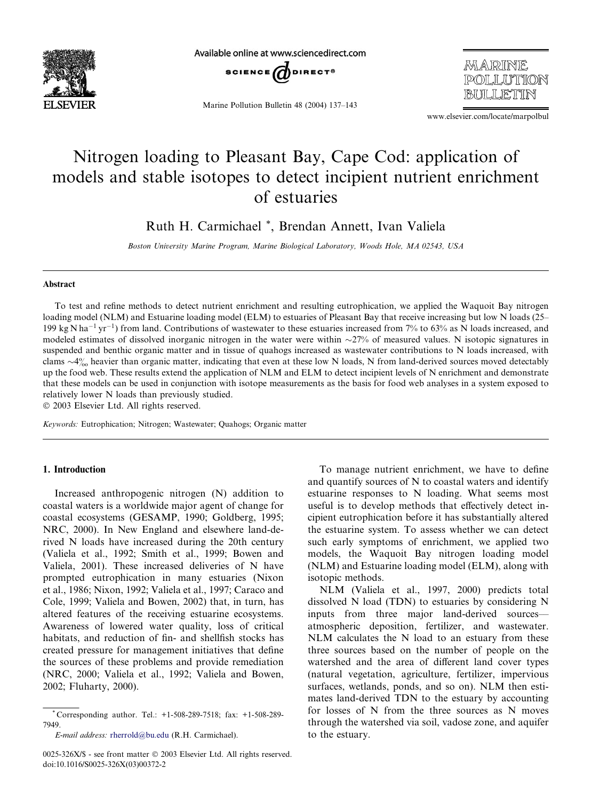

Available online at www.sciencedirect.com



Marine Pollution Bulletin 48 (2004) 137–143

*MARINE* POLLUTION BIILLETTIN

www.elsevier.com/locate/marpolbul

# Nitrogen loading to Pleasant Bay, Cape Cod: application of models and stable isotopes to detect incipient nutrient enrichment of estuaries

Ruth H. Carmichael \*, Brendan Annett, Ivan Valiela

Boston University Marine Program, Marine Biological Laboratory, Woods Hole, MA 02543, USA

#### Abstract

To test and refine methods to detect nutrient enrichment and resulting eutrophication, we applied the Waquoit Bay nitrogen loading model (NLM) and Estuarine loading model (ELM) to estuaries of Pleasant Bay that receive increasing but low N loads (25– 199 kg N ha<sup>-1</sup> yr<sup>-1</sup>) from land. Contributions of wastewater to these estuaries increased from 7% to 63% as N loads increased, and modeled estimates of dissolved inorganic nitrogen in the water were within  $\sim$ 27% of measured values. N isotopic signatures in suspended and benthic organic matter and in tissue of quahogs increased as wastewater contributions to N loads increased, with clams  $\sim$ 4‰ heavier than organic matter, indicating that even at these low N loads, N from land-derived sources moved detectably up the food web. These results extend the application of NLM and ELM to detect incipient levels of N enrichment and demonstrate that these models can be used in conjunction with isotope measurements as the basis for food web analyses in a system exposed to relatively lower N loads than previously studied.

2003 Elsevier Ltd. All rights reserved.

Keywords: Eutrophication; Nitrogen; Wastewater; Quahogs; Organic matter

# 1. Introduction

Increased anthropogenic nitrogen (N) addition to coastal waters is a worldwide major agent of change for coastal ecosystems (GESAMP, 1990; Goldberg, 1995; NRC, 2000). In New England and elsewhere land-derived N loads have increased during the 20th century (Valiela et al., 1992; Smith et al., 1999; Bowen and Valiela, 2001). These increased deliveries of N have prompted eutrophication in many estuaries (Nixon et al., 1986; Nixon, 1992; Valiela et al., 1997; Caraco and Cole, 1999; Valiela and Bowen, 2002) that, in turn, has altered features of the receiving estuarine ecosystems. Awareness of lowered water quality, loss of critical habitats, and reduction of fin- and shellfish stocks has created pressure for management initiatives that define the sources of these problems and provide remediation (NRC, 2000; Valiela et al., 1992; Valiela and Bowen, 2002; Fluharty, 2000).

To manage nutrient enrichment, we have to define and quantify sources of N to coastal waters and identify estuarine responses to N loading. What seems most useful is to develop methods that effectively detect incipient eutrophication before it has substantially altered the estuarine system. To assess whether we can detect such early symptoms of enrichment, we applied two models, the Waquoit Bay nitrogen loading model (NLM) and Estuarine loading model (ELM), along with isotopic methods.

NLM (Valiela et al., 1997, 2000) predicts total dissolved N load (TDN) to estuaries by considering N inputs from three major land-derived sources–– atmospheric deposition, fertilizer, and wastewater. NLM calculates the N load to an estuary from these three sources based on the number of people on the watershed and the area of different land cover types (natural vegetation, agriculture, fertilizer, impervious surfaces, wetlands, ponds, and so on). NLM then estimates land-derived TDN to the estuary by accounting for losses of N from the three sources as N moves through the watershed via soil, vadose zone, and aquifer to the estuary.

<sup>\*</sup> Corresponding author. Tel.: +1-508-289-7518; fax: +1-508-289- 7949.

E-mail address: [rherrold@bu.edu](mail to: rherrold@bu.edu) (R.H. Carmichael).

<sup>0025-326</sup>X/\$ - see front matter © 2003 Elsevier Ltd. All rights reserved. doi:10.1016/S0025-326X(03)00372-2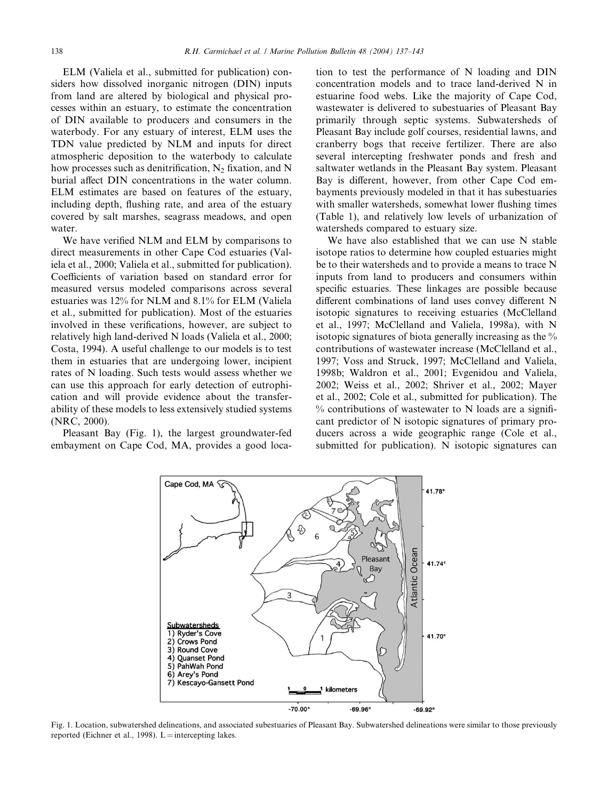ELM (Valiela et al., submitted for publication) considers how dissolved inorganic nitrogen (DIN) inputs from land are altered by biological and physical processes within an estuary, to estimate the concentration of DIN available to producers and consumers in the waterbody. For any estuary of interest, ELM uses the TDN value predicted by NLM and inputs for direct atmospheric deposition to the waterbody to calculate how processes such as denitrification,  $N_2$  fixation, and N burial affect DIN concentrations in the water column. ELM estimates are based on features of the estuary, including depth, flushing rate, and area of the estuary covered by salt marshes, seagrass meadows, and open water.

We have verified NLM and ELM by comparisons to direct measurements in other Cape Cod estuaries (Valiela et al., 2000; Valiela et al., submitted for publication). Coefficients of variation based on standard error for measured versus modeled comparisons across several estuaries was 12% for NLM and 8.1% for ELM (Valiela et al., submitted for publication). Most of the estuaries involved in these verifications, however, are subject to relatively high land-derived N loads (Valiela et al., 2000; Costa, 1994). A useful challenge to our models is to test them in estuaries that are undergoing lower, incipient rates of N loading. Such tests would assess whether we can use this approach for early detection of eutrophication and will provide evidence about the transferability of these models to less extensively studied systems (NRC, 2000).

Pleasant Bay (Fig. 1), the largest groundwater-fed embayment on Cape Cod, MA, provides a good location to test the performance of N loading and DIN concentration models and to trace land-derived N in estuarine food webs. Like the majority of Cape Cod, wastewater is delivered to subestuaries of Pleasant Bay primarily through septic systems. Subwatersheds of Pleasant Bay include golf courses, residential lawns, and cranberry bogs that receive fertilizer. There are also several intercepting freshwater ponds and fresh and saltwater wetlands in the Pleasant Bay system. Pleasant Bay is different, however, from other Cape Cod embayments previously modeled in that it has subestuaries with smaller watersheds, somewhat lower flushing times (Table 1), and relatively low levels of urbanization of watersheds compared to estuary size.

We have also established that we can use N stable isotope ratios to determine how coupled estuaries might be to their watersheds and to provide a means to trace N inputs from land to producers and consumers within specific estuaries. These linkages are possible because different combinations of land uses convey different N isotopic signatures to receiving estuaries (McClelland et al., 1997; McClelland and Valiela, 1998a), with N isotopic signatures of biota generally increasing as the % contributions of wastewater increase (McClelland et al., 1997; Voss and Struck, 1997; McClelland and Valiela, 1998b; Waldron et al., 2001; Evgenidou and Valiela, 2002; Weiss et al., 2002; Shriver et al., 2002; Mayer et al., 2002; Cole et al., submitted for publication). The  $%$  contributions of wastewater to N loads are a significant predictor of N isotopic signatures of primary producers across a wide geographic range (Cole et al., submitted for publication). N isotopic signatures can



Fig. 1. Location, subwatershed delineations, and associated subestuaries of Pleasant Bay. Subwatershed delineations were similar to those previously reported (Eichner et al., 1998).  $L =$  intercepting lakes.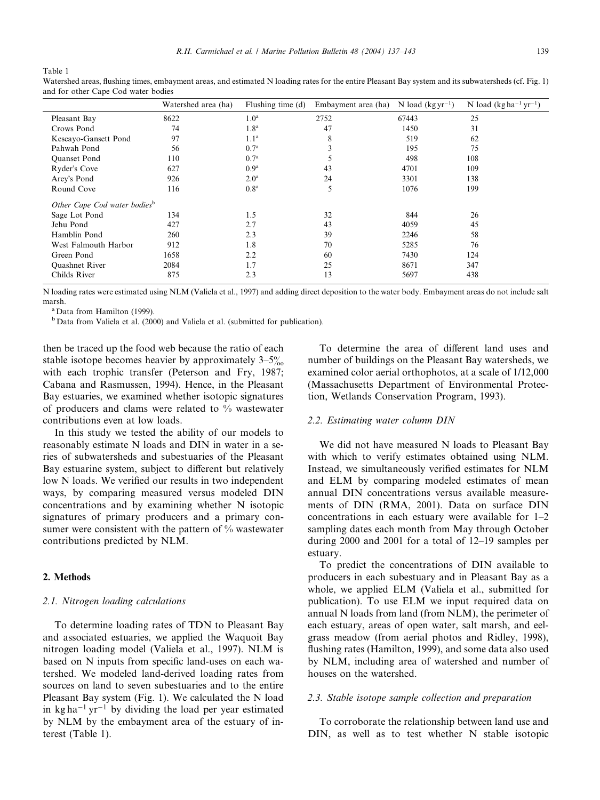Table 1

|                                          | Watershed area (ha) | Flushing time (d) | Embayment area (ha) | N load $(kgyr^{-1})$ | N load (kg ha <sup>-1</sup> yr <sup>-1</sup> ) |
|------------------------------------------|---------------------|-------------------|---------------------|----------------------|------------------------------------------------|
| Pleasant Bay                             | 8622                | 1.0 <sup>a</sup>  | 2752                | 67443                | 25                                             |
| Crows Pond                               | 74                  | 1.8 <sup>a</sup>  | 47                  | 1450                 | 31                                             |
| Kescayo-Gansett Pond                     | 97                  | 1.1 <sup>a</sup>  | 8                   | 519                  | 62                                             |
| Pahwah Pond                              | 56                  | 0.7 <sup>a</sup>  | 3                   | 195                  | 75                                             |
| Quanset Pond                             | 110                 | 0.7 <sup>a</sup>  |                     | 498                  | 108                                            |
| Ryder's Cove                             | 627                 | 0.9 <sup>a</sup>  | 43                  | 4701                 | 109                                            |
| Arey's Pond                              | 926                 | 2.0 <sup>a</sup>  | 24                  | 3301                 | 138                                            |
| Round Cove                               | 116                 | 0.8 <sup>a</sup>  | 5                   | 1076                 | 199                                            |
| Other Cape Cod water bodies <sup>b</sup> |                     |                   |                     |                      |                                                |
| Sage Lot Pond                            | 134                 | 1.5               | 32                  | 844                  | 26                                             |
| Jehu Pond                                | 427                 | 2.7               | 43                  | 4059                 | 45                                             |
| Hamblin Pond                             | 260                 | 2.3               | 39                  | 2246                 | 58                                             |
| West Falmouth Harbor                     | 912                 | 1.8               | 70                  | 5285                 | 76                                             |
| Green Pond                               | 1658                | 2.2               | 60                  | 7430                 | 124                                            |
| <b>Quashnet River</b>                    | 2084                | 1.7               | 25                  | 8671                 | 347                                            |
| Childs River                             | 875                 | 2.3               | 13                  | 5697                 | 438                                            |

Watershed areas, flushing times, embayment areas, and estimated N loading rates for the entire Pleasant Bay system and its subwatersheds (cf. Fig. 1) and for other Cape Cod water bodies

N loading rates were estimated using NLM (Valiela et al., 1997) and adding direct deposition to the water body. Embayment areas do not include salt marsh.

<sup>a</sup> Data from Hamilton (1999).

<sup>b</sup> Data from Valiela et al. (2000) and Valiela et al. (submitted for publication).

then be traced up the food web because the ratio of each stable isotope becomes heavier by approximately  $3-5\%$ with each trophic transfer (Peterson and Fry, 1987; Cabana and Rasmussen, 1994). Hence, in the Pleasant Bay estuaries, we examined whether isotopic signatures of producers and clams were related to % wastewater contributions even at low loads.

In this study we tested the ability of our models to reasonably estimate N loads and DIN in water in a series of subwatersheds and subestuaries of the Pleasant Bay estuarine system, subject to different but relatively low N loads. We verified our results in two independent ways, by comparing measured versus modeled DIN concentrations and by examining whether N isotopic signatures of primary producers and a primary consumer were consistent with the pattern of % wastewater contributions predicted by NLM.

## 2. Methods

#### 2.1. Nitrogen loading calculations

To determine loading rates of TDN to Pleasant Bay and associated estuaries, we applied the Waquoit Bay nitrogen loading model (Valiela et al., 1997). NLM is based on N inputs from specific land-uses on each watershed. We modeled land-derived loading rates from sources on land to seven subestuaries and to the entire Pleasant Bay system (Fig. 1). We calculated the N load in kg ha<sup>-1</sup> yr<sup>-1</sup> by dividing the load per year estimated by NLM by the embayment area of the estuary of interest (Table 1).

To determine the area of different land uses and number of buildings on the Pleasant Bay watersheds, we examined color aerial orthophotos, at a scale of 1/12,000 (Massachusetts Department of Environmental Protection, Wetlands Conservation Program, 1993).

#### 2.2. Estimating water column DIN

We did not have measured N loads to Pleasant Bay with which to verify estimates obtained using NLM. Instead, we simultaneously verified estimates for NLM and ELM by comparing modeled estimates of mean annual DIN concentrations versus available measurements of DIN (RMA, 2001). Data on surface DIN concentrations in each estuary were available for 1–2 sampling dates each month from May through October during 2000 and 2001 for a total of 12–19 samples per estuary.

To predict the concentrations of DIN available to producers in each subestuary and in Pleasant Bay as a whole, we applied ELM (Valiela et al., submitted for publication). To use ELM we input required data on annual N loads from land (from NLM), the perimeter of each estuary, areas of open water, salt marsh, and eelgrass meadow (from aerial photos and Ridley, 1998), flushing rates (Hamilton, 1999), and some data also used by NLM, including area of watershed and number of houses on the watershed.

## 2.3. Stable isotope sample collection and preparation

To corroborate the relationship between land use and DIN, as well as to test whether N stable isotopic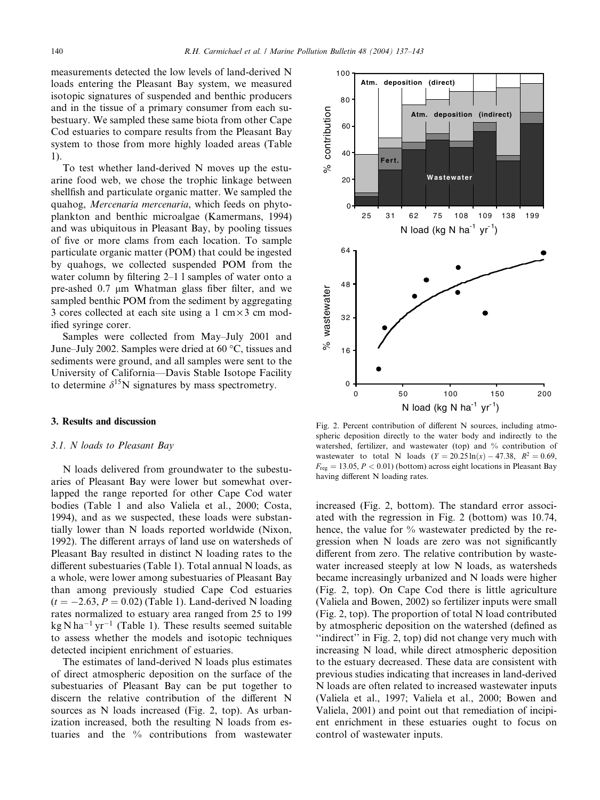measurements detected the low levels of land-derived N loads entering the Pleasant Bay system, we measured isotopic signatures of suspended and benthic producers and in the tissue of a primary consumer from each subestuary. We sampled these same biota from other Cape Cod estuaries to compare results from the Pleasant Bay system to those from more highly loaded areas (Table 1).

To test whether land-derived N moves up the estuarine food web, we chose the trophic linkage between shellfish and particulate organic matter. We sampled the quahog, Mercenaria mercenaria, which feeds on phytoplankton and benthic microalgae (Kamermans, 1994) and was ubiquitous in Pleasant Bay, by pooling tissues of five or more clams from each location. To sample particulate organic matter (POM) that could be ingested by quahogs, we collected suspended POM from the water column by filtering 2–1 l samples of water onto a pre-ashed 0.7 *l*m Whatman glass fiber filter, and we sampled benthic POM from the sediment by aggregating 3 cores collected at each site using a 1 cm  $\times$  3 cm modified syringe corer.

Samples were collected from May–July 2001 and June–July 2002. Samples were dried at 60  $\degree$ C, tissues and sediments were ground, and all samples were sent to the University of California––Davis Stable Isotope Facility to determine  $\delta^{15}N$  signatures by mass spectrometry.

#### 3. Results and discussion

#### 3.1. N loads to Pleasant Bay

N loads delivered from groundwater to the subestuaries of Pleasant Bay were lower but somewhat overlapped the range reported for other Cape Cod water bodies (Table 1 and also Valiela et al., 2000; Costa, 1994), and as we suspected, these loads were substantially lower than N loads reported worldwide (Nixon, 1992). The different arrays of land use on watersheds of Pleasant Bay resulted in distinct N loading rates to the different subestuaries (Table 1). Total annual N loads, as a whole, were lower among subestuaries of Pleasant Bay than among previously studied Cape Cod estuaries  $(t = -2.63, P = 0.02)$  (Table 1). Land-derived N loading rates normalized to estuary area ranged from 25 to 199  $kg \text{N} \text{h}a^{-1} \text{yr}^{-1}$  (Table 1). These results seemed suitable to assess whether the models and isotopic techniques detected incipient enrichment of estuaries.

The estimates of land-derived N loads plus estimates of direct atmospheric deposition on the surface of the subestuaries of Pleasant Bay can be put together to discern the relative contribution of the different N sources as N loads increased (Fig. 2, top). As urbanization increased, both the resulting N loads from estuaries and the % contributions from wastewater



Fig. 2. Percent contribution of different N sources, including atmospheric deposition directly to the water body and indirectly to the watershed, fertilizer, and wastewater (top) and % contribution of wastewater to total N loads  $(Y = 20.25 \ln(x) - 47.38, R^2 = 0.69,$  $F_{\text{reg}} = 13.05, P < 0.01$  (bottom) across eight locations in Pleasant Bay having different N loading rates.

increased (Fig. 2, bottom). The standard error associated with the regression in Fig. 2 (bottom) was 10.74, hence, the value for % wastewater predicted by the regression when N loads are zero was not significantly different from zero. The relative contribution by wastewater increased steeply at low N loads, as watersheds became increasingly urbanized and N loads were higher (Fig. 2, top). On Cape Cod there is little agriculture (Valiela and Bowen, 2002) so fertilizer inputs were small (Fig. 2, top). The proportion of total N load contributed by atmospheric deposition on the watershed (defined as ''indirect'' in Fig. 2, top) did not change very much with increasing N load, while direct atmospheric deposition to the estuary decreased. These data are consistent with previous studies indicating that increases in land-derived N loads are often related to increased wastewater inputs (Valiela et al., 1997; Valiela et al., 2000; Bowen and Valiela, 2001) and point out that remediation of incipient enrichment in these estuaries ought to focus on control of wastewater inputs.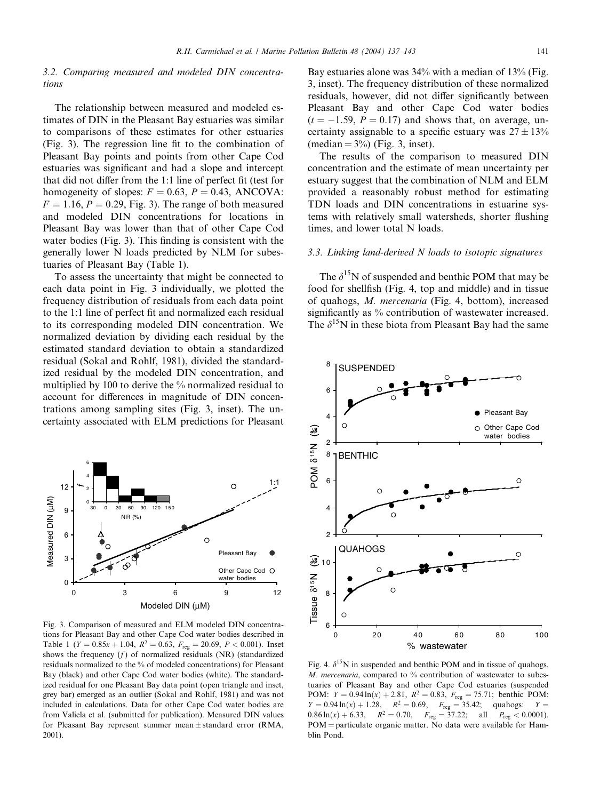# 3.2. Comparing measured and modeled DIN concentrations

The relationship between measured and modeled estimates of DIN in the Pleasant Bay estuaries was similar to comparisons of these estimates for other estuaries (Fig. 3). The regression line fit to the combination of Pleasant Bay points and points from other Cape Cod estuaries was significant and had a slope and intercept that did not differ from the 1:1 line of perfect fit (test for homogeneity of slopes:  $F = 0.63$ ,  $P = 0.43$ , ANCOVA:  $F = 1.16$ ,  $P = 0.29$ , Fig. 3). The range of both measured and modeled DIN concentrations for locations in Pleasant Bay was lower than that of other Cape Cod water bodies (Fig. 3). This finding is consistent with the generally lower N loads predicted by NLM for subestuaries of Pleasant Bay (Table 1).

To assess the uncertainty that might be connected to each data point in Fig. 3 individually, we plotted the frequency distribution of residuals from each data point to the 1:1 line of perfect fit and normalized each residual to its corresponding modeled DIN concentration. We normalized deviation by dividing each residual by the estimated standard deviation to obtain a standardized residual (Sokal and Rohlf, 1981), divided the standardized residual by the modeled DIN concentration, and multiplied by 100 to derive the % normalized residual to account for differences in magnitude of DIN concentrations among sampling sites (Fig. 3, inset). The uncertainty associated with ELM predictions for Pleasant



Fig. 3. Comparison of measured and ELM modeled DIN concentrations for Pleasant Bay and other Cape Cod water bodies described in Table 1 ( $Y = 0.85x + 1.04$ ,  $R^2 = 0.63$ ,  $F_{reg} = 20.69$ ,  $P < 0.001$ ). Inset shows the frequency  $(f)$  of normalized residuals (NR) (standardized residuals normalized to the % of modeled concentrations) for Pleasant Bay (black) and other Cape Cod water bodies (white). The standardized residual for one Pleasant Bay data point (open triangle and inset, grey bar) emerged as an outlier (Sokal and Rohlf, 1981) and was not included in calculations. Data for other Cape Cod water bodies are from Valiela et al. (submitted for publication). Measured DIN values for Pleasant Bay represent summer mean  $\pm$  standard error (RMA, 2001).

Bay estuaries alone was 34% with a median of 13% (Fig. 3, inset). The frequency distribution of these normalized residuals, however, did not differ significantly between Pleasant Bay and other Cape Cod water bodies  $(t = -1.59, P = 0.17)$  and shows that, on average, uncertainty assignable to a specific estuary was  $27 \pm 13\%$  $(median = 3\%)$  (Fig. 3, inset).

The results of the comparison to measured DIN concentration and the estimate of mean uncertainty per estuary suggest that the combination of NLM and ELM provided a reasonably robust method for estimating TDN loads and DIN concentrations in estuarine systems with relatively small watersheds, shorter flushing times, and lower total N loads.

## 3.3. Linking land-derived N loads to isotopic signatures

The  $\delta^{15}N$  of suspended and benthic POM that may be food for shellfish (Fig. 4, top and middle) and in tissue of quahogs, M. mercenaria (Fig. 4, bottom), increased significantly as % contribution of wastewater increased. The  $\delta^{15}N$  in these biota from Pleasant Bay had the same



Fig. 4.  $\delta^{15}N$  in suspended and benthic POM and in tissue of quahogs, M. mercenaria, compared to  $\%$  contribution of wastewater to subestuaries of Pleasant Bay and other Cape Cod estuaries (suspended POM:  $Y = 0.94 \ln(x) + 2.81$ ,  $R^2 = 0.83$ ,  $F_{reg} = 75.71$ ; benthic POM:  $Y = 0.94 \ln(x) + 1.28$ ,  $R^2 = 0.69$ ,  $F_{reg} = 35.42$ ; quahogs:  $Y =$ 0.86 ln(x) + 6.33,  $R^2 = 0.70$ ,  $F_{reg} = 37.22$ ; all  $P_{reg} < 0.0001$ ).  $POM =$  particulate organic matter. No data were available for Hamblin Pond.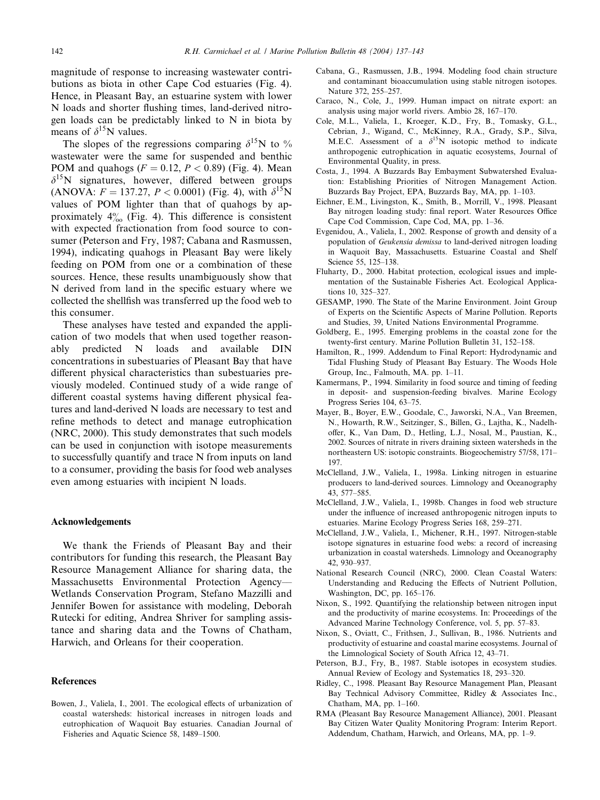magnitude of response to increasing wastewater contributions as biota in other Cape Cod estuaries (Fig. 4). Hence, in Pleasant Bay, an estuarine system with lower N loads and shorter flushing times, land-derived nitrogen loads can be predictably linked to N in biota by means of  $\delta^{15}$ N values.

The slopes of the regressions comparing  $\delta^{15}N$  to % wastewater were the same for suspended and benthic POM and quahogs ( $F = 0.12, P < 0.89$ ) (Fig. 4). Mean  $\delta^{15}$ N signatures, however, differed between groups (ANOVA:  $F = 137.27$ ,  $P < 0.0001$ ) (Fig. 4), with  $\delta^{15}N$ values of POM lighter than that of quahogs by approximately  $4\%$  (Fig. 4). This difference is consistent with expected fractionation from food source to consumer (Peterson and Fry, 1987; Cabana and Rasmussen, 1994), indicating quahogs in Pleasant Bay were likely feeding on POM from one or a combination of these sources. Hence, these results unambiguously show that N derived from land in the specific estuary where we collected the shellfish was transferred up the food web to this consumer.

These analyses have tested and expanded the application of two models that when used together reasonably predicted N loads and available DIN concentrations in subestuaries of Pleasant Bay that have different physical characteristics than subestuaries previously modeled. Continued study of a wide range of different coastal systems having different physical features and land-derived N loads are necessary to test and refine methods to detect and manage eutrophication (NRC, 2000). This study demonstrates that such models can be used in conjunction with isotope measurements to successfully quantify and trace N from inputs on land to a consumer, providing the basis for food web analyses even among estuaries with incipient N loads.

#### Acknowledgements

We thank the Friends of Pleasant Bay and their contributors for funding this research, the Pleasant Bay Resource Management Alliance for sharing data, the Massachusetts Environmental Protection Agency–– Wetlands Conservation Program, Stefano Mazzilli and Jennifer Bowen for assistance with modeling, Deborah Rutecki for editing, Andrea Shriver for sampling assistance and sharing data and the Towns of Chatham, Harwich, and Orleans for their cooperation.

#### References

Bowen, J., Valiela, I., 2001. The ecological effects of urbanization of coastal watersheds: historical increases in nitrogen loads and eutrophication of Waquoit Bay estuaries. Canadian Journal of Fisheries and Aquatic Science 58, 1489–1500.

- Cabana, G., Rasmussen, J.B., 1994. Modeling food chain structure and contaminant bioaccumulation using stable nitrogen isotopes. Nature 372, 255–257.
- Caraco, N., Cole, J., 1999. Human impact on nitrate export: an analysis using major world rivers. Ambio 28, 167–170.
- Cole, M.L., Valiela, I., Kroeger, K.D., Fry, B., Tomasky, G.L., Cebrian, J., Wigand, C., McKinney, R.A., Grady, S.P., Silva, M.E.C. Assessment of a  $\delta^{15}N$  isotopic method to indicate anthropogenic eutrophication in aquatic ecosystems, Journal of Environmental Quality, in press.
- Costa, J., 1994. A Buzzards Bay Embayment Subwatershed Evaluation: Establishing Priorities of Nitrogen Management Action. Buzzards Bay Project, EPA, Buzzards Bay, MA, pp. 1–103.
- Eichner, E.M., Livingston, K., Smith, B., Morrill, V., 1998. Pleasant Bay nitrogen loading study: final report. Water Resources Office Cape Cod Commission, Cape Cod, MA, pp. 1–36.
- Evgenidou, A., Valiela, I., 2002. Response of growth and density of a population of Geukensia demissa to land-derived nitrogen loading in Waquoit Bay, Massachusetts. Estuarine Coastal and Shelf Science 55, 125–138.
- Fluharty, D., 2000. Habitat protection, ecological issues and implementation of the Sustainable Fisheries Act. Ecological Applications 10, 325–327.
- GESAMP, 1990. The State of the Marine Environment. Joint Group of Experts on the Scientific Aspects of Marine Pollution. Reports and Studies, 39, United Nations Environmental Programme.
- Goldberg, E., 1995. Emerging problems in the coastal zone for the twenty-first century. Marine Pollution Bulletin 31, 152–158.
- Hamilton, R., 1999. Addendum to Final Report: Hydrodynamic and Tidal Flushing Study of Pleasant Bay Estuary. The Woods Hole Group, Inc., Falmouth, MA. pp. 1–11.
- Kamermans, P., 1994. Similarity in food source and timing of feeding in deposit- and suspension-feeding bivalves. Marine Ecology Progress Series 104, 63–75.
- Mayer, B., Boyer, E.W., Goodale, C., Jaworski, N.A., Van Breemen, N., Howarth, R.W., Seitzinger, S., Billen, G., Lajtha, K., Nadelhoffer, K., Van Dam, D., Hetling, L.J., Nosal, M., Paustian, K., 2002. Sources of nitrate in rivers draining sixteen watersheds in the northeastern US: isotopic constraints. Biogeochemistry 57/58, 171– 197.
- McClelland, J.W., Valiela, I., 1998a. Linking nitrogen in estuarine producers to land-derived sources. Limnology and Oceanography 43, 577–585.
- McClelland, J.W., Valiela, I., 1998b. Changes in food web structure under the influence of increased anthropogenic nitrogen inputs to estuaries. Marine Ecology Progress Series 168, 259–271.
- McClelland, J.W., Valiela, I., Michener, R.H., 1997. Nitrogen-stable isotope signatures in estuarine food webs: a record of increasing urbanization in coastal watersheds. Limnology and Oceanography 42, 930–937.
- National Research Council (NRC), 2000. Clean Coastal Waters: Understanding and Reducing the Effects of Nutrient Pollution, Washington, DC, pp. 165–176.
- Nixon, S., 1992. Quantifying the relationship between nitrogen input and the productivity of marine ecosystems. In: Proceedings of the Advanced Marine Technology Conference, vol. 5, pp. 57–83.
- Nixon, S., Oviatt, C., Frithsen, J., Sullivan, B., 1986. Nutrients and productivity of estuarine and coastal marine ecosystems. Journal of the Limnological Society of South Africa 12, 43–71.
- Peterson, B.J., Fry, B., 1987. Stable isotopes in ecosystem studies. Annual Review of Ecology and Systematics 18, 293–320.
- Ridley, C., 1998. Pleasant Bay Resource Management Plan, Pleasant Bay Technical Advisory Committee, Ridley & Associates Inc., Chatham, MA, pp. 1–160.
- RMA (Pleasant Bay Resource Management Alliance), 2001. Pleasant Bay Citizen Water Quality Monitoring Program: Interim Report. Addendum, Chatham, Harwich, and Orleans, MA, pp. 1–9.